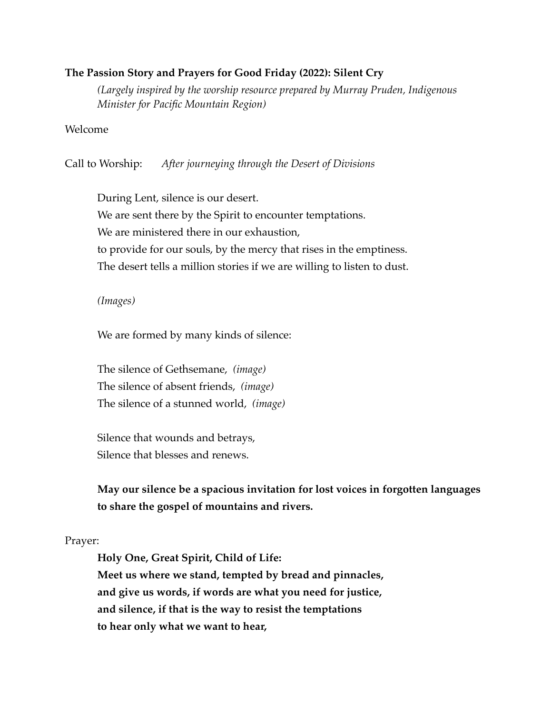# **The Passion Story and Prayers for Good Friday (2022): Silent Cry**

*(Largely inspired by the worship resource prepared by Murray Pruden, Indigenous Minister for Pacific Mountain Region)*

Welcome

Call to Worship: *After journeying through the Desert of Divisions* 

During Lent, silence is our desert. We are sent there by the Spirit to encounter temptations. We are ministered there in our exhaustion, to provide for our souls, by the mercy that rises in the emptiness. The desert tells a million stories if we are willing to listen to dust.

# *(Images)*

We are formed by many kinds of silence:

The silence of Gethsemane, *(image)* The silence of absent friends, *(image)* The silence of a stunned world, *(image)*

Silence that wounds and betrays, Silence that blesses and renews.

**May our silence be a spacious invitation for lost voices in forgotten languages to share the gospel of mountains and rivers.** 

Prayer:

**Holy One, Great Spirit, Child of Life: Meet us where we stand, tempted by bread and pinnacles, and give us words, if words are what you need for justice, and silence, if that is the way to resist the temptations to hear only what we want to hear,**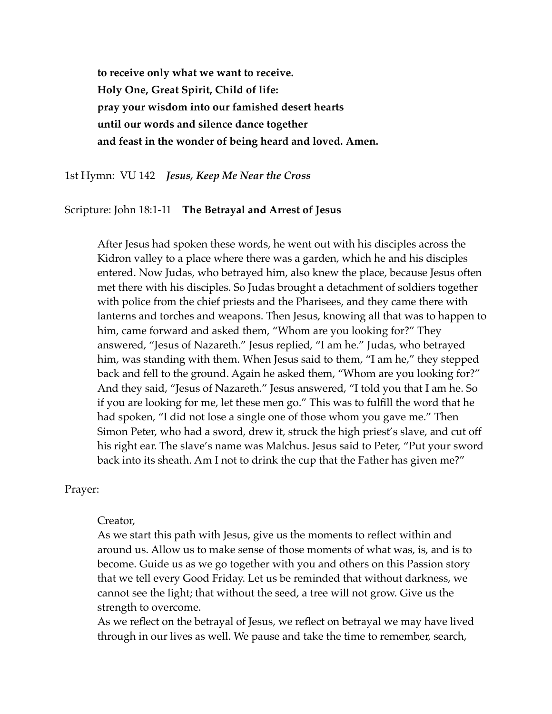**to receive only what we want to receive. Holy One, Great Spirit, Child of life: pray your wisdom into our famished desert hearts until our words and silence dance together and feast in the wonder of being heard and loved. Amen.** 

1st Hymn: VU 142 *Jesus, Keep Me Near the Cross* 

#### Scripture: John 18:1-11 **The Betrayal and Arrest of Jesus**

After Jesus had spoken these words, he went out with his disciples across the Kidron valley to a place where there was a garden, which he and his disciples entered. Now Judas, who betrayed him, also knew the place, because Jesus often met there with his disciples. So Judas brought a detachment of soldiers together with police from the chief priests and the Pharisees, and they came there with lanterns and torches and weapons. Then Jesus, knowing all that was to happen to him, came forward and asked them, "Whom are you looking for?" They answered, "Jesus of Nazareth." Jesus replied, "I am he." Judas, who betrayed him, was standing with them. When Jesus said to them, "I am he," they stepped back and fell to the ground. Again he asked them, "Whom are you looking for?" And they said, "Jesus of Nazareth." Jesus answered, "I told you that I am he. So if you are looking for me, let these men go." This was to fulfill the word that he had spoken, "I did not lose a single one of those whom you gave me." Then Simon Peter, who had a sword, drew it, struck the high priest's slave, and cut off his right ear. The slave's name was Malchus. Jesus said to Peter, "Put your sword back into its sheath. Am I not to drink the cup that the Father has given me?"

Prayer:

Creator,

As we start this path with Jesus, give us the moments to reflect within and around us. Allow us to make sense of those moments of what was, is, and is to become. Guide us as we go together with you and others on this Passion story that we tell every Good Friday. Let us be reminded that without darkness, we cannot see the light; that without the seed, a tree will not grow. Give us the strength to overcome.

As we reflect on the betrayal of Jesus, we reflect on betrayal we may have lived through in our lives as well. We pause and take the time to remember, search,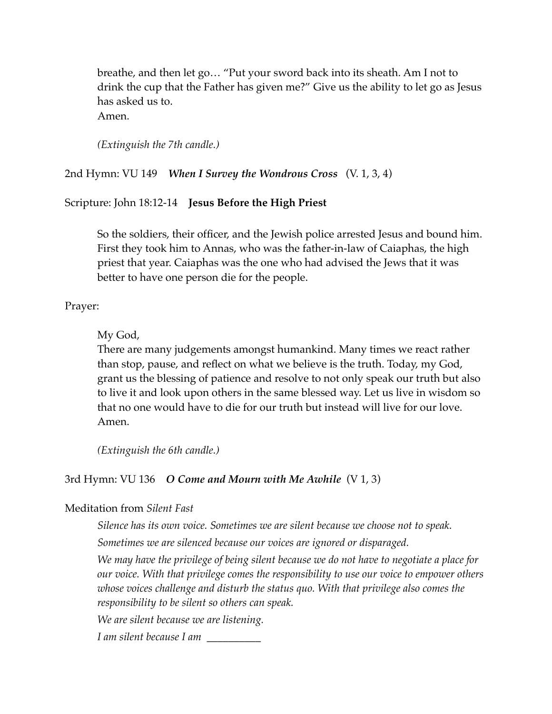breathe, and then let go… "Put your sword back into its sheath. Am I not to drink the cup that the Father has given me?" Give us the ability to let go as Jesus has asked us to.

Amen.

*(Extinguish the 7th candle.)* 

2nd Hymn: VU 149 *When I Survey the Wondrous Cross* (V. 1, 3, 4)

# Scripture: John 18:12-14 **Jesus Before the High Priest**

So the soldiers, their officer, and the Jewish police arrested Jesus and bound him. First they took him to Annas, who was the father-in-law of Caiaphas, the high priest that year. Caiaphas was the one who had advised the Jews that it was better to have one person die for the people.

Prayer:

### My God,

There are many judgements amongst humankind. Many times we react rather than stop, pause, and reflect on what we believe is the truth. Today, my God, grant us the blessing of patience and resolve to not only speak our truth but also to live it and look upon others in the same blessed way. Let us live in wisdom so that no one would have to die for our truth but instead will live for our love. Amen.

*(Extinguish the 6th candle.)*

### 3rd Hymn: VU 136 *O Come and Mourn with Me Awhile* (V 1, 3)

### Meditation from *Silent Fast*

*Silence has its own voice. Sometimes we are silent because we choose not to speak.* 

*Sometimes we are silenced because our voices are ignored or disparaged.* 

*We may have the privilege of being silent because we do not have to negotiate a place for our voice. With that privilege comes the responsibility to use our voice to empower others whose voices challenge and disturb the status quo. With that privilege also comes the responsibility to be silent so others can speak.* 

*We are silent because we are listening.* 

*I am silent because I am \_\_\_\_\_\_\_\_\_\_*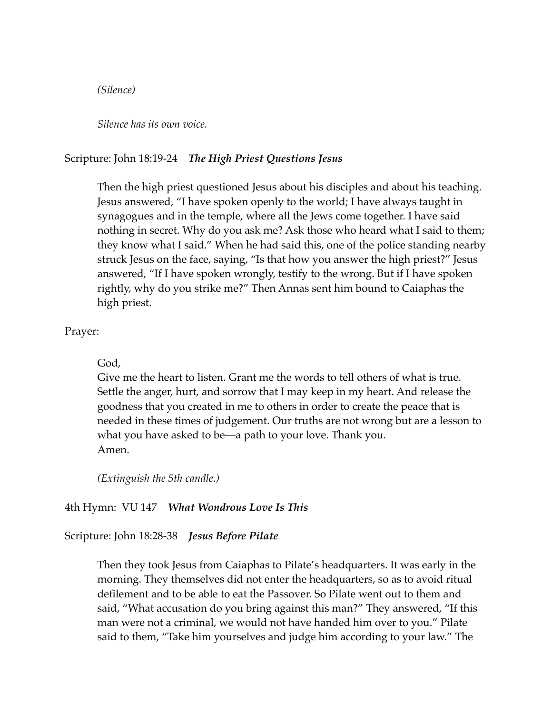### *(Silence)*

*Silence has its own voice.*

# Scripture: John 18:19-24 *The High Priest Questions Jesus*

Then the high priest questioned Jesus about his disciples and about his teaching. Jesus answered, "I have spoken openly to the world; I have always taught in synagogues and in the temple, where all the Jews come together. I have said nothing in secret. Why do you ask me? Ask those who heard what I said to them; they know what I said." When he had said this, one of the police standing nearby struck Jesus on the face, saying, "Is that how you answer the high priest?" Jesus answered, "If I have spoken wrongly, testify to the wrong. But if I have spoken rightly, why do you strike me?" Then Annas sent him bound to Caiaphas the high priest.

### Prayer:

# God,

Give me the heart to listen. Grant me the words to tell others of what is true. Settle the anger, hurt, and sorrow that I may keep in my heart. And release the goodness that you created in me to others in order to create the peace that is needed in these times of judgement. Our truths are not wrong but are a lesson to what you have asked to be—a path to your love. Thank you. Amen.

*(Extinguish the 5th candle.)*

### 4th Hymn: VU 147 *What Wondrous Love Is This*

### Scripture: John 18:28-38 *Jesus Before Pilate*

Then they took Jesus from Caiaphas to Pilate's headquarters. It was early in the morning. They themselves did not enter the headquarters, so as to avoid ritual defilement and to be able to eat the Passover. So Pilate went out to them and said, "What accusation do you bring against this man?" They answered, "If this man were not a criminal, we would not have handed him over to you." Pilate said to them, "Take him yourselves and judge him according to your law." The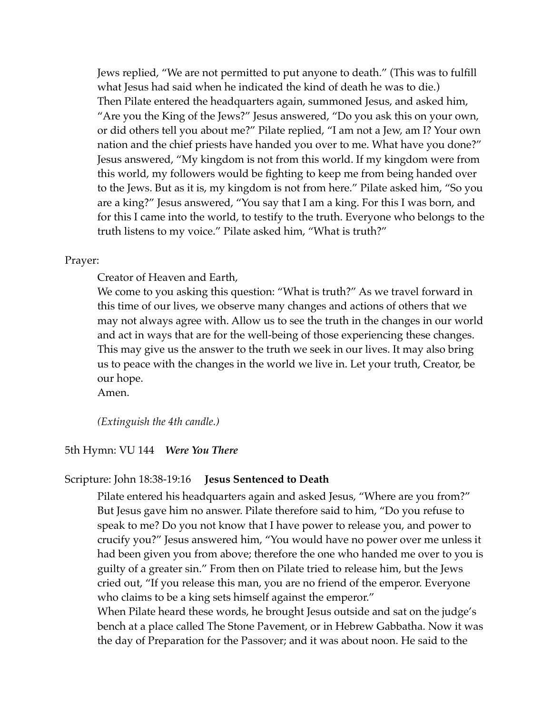Jews replied, "We are not permitted to put anyone to death." (This was to fulfill what Jesus had said when he indicated the kind of death he was to die.) Then Pilate entered the headquarters again, summoned Jesus, and asked him, "Are you the King of the Jews?" Jesus answered, "Do you ask this on your own, or did others tell you about me?" Pilate replied, "I am not a Jew, am I? Your own nation and the chief priests have handed you over to me. What have you done?" Jesus answered, "My kingdom is not from this world. If my kingdom were from this world, my followers would be fighting to keep me from being handed over to the Jews. But as it is, my kingdom is not from here." Pilate asked him, "So you are a king?" Jesus answered, "You say that I am a king. For this I was born, and for this I came into the world, to testify to the truth. Everyone who belongs to the truth listens to my voice." Pilate asked him, "What is truth?"

#### Prayer:

Creator of Heaven and Earth,

We come to you asking this question: "What is truth?" As we travel forward in this time of our lives, we observe many changes and actions of others that we may not always agree with. Allow us to see the truth in the changes in our world and act in ways that are for the well-being of those experiencing these changes. This may give us the answer to the truth we seek in our lives. It may also bring us to peace with the changes in the world we live in. Let your truth, Creator, be our hope.

Amen.

*(Extinguish the 4th candle.)*

#### 5th Hymn: VU 144 *Were You There*

#### Scripture: John 18:38-19:16 **Jesus Sentenced to Death**

Pilate entered his headquarters again and asked Jesus, "Where are you from?" But Jesus gave him no answer. Pilate therefore said to him, "Do you refuse to speak to me? Do you not know that I have power to release you, and power to crucify you?" Jesus answered him, "You would have no power over me unless it had been given you from above; therefore the one who handed me over to you is guilty of a greater sin." From then on Pilate tried to release him, but the Jews cried out, "If you release this man, you are no friend of the emperor. Everyone who claims to be a king sets himself against the emperor."

When Pilate heard these words, he brought Jesus outside and sat on the judge's bench at a place called The Stone Pavement, or in Hebrew Gabbatha. Now it was the day of Preparation for the Passover; and it was about noon. He said to the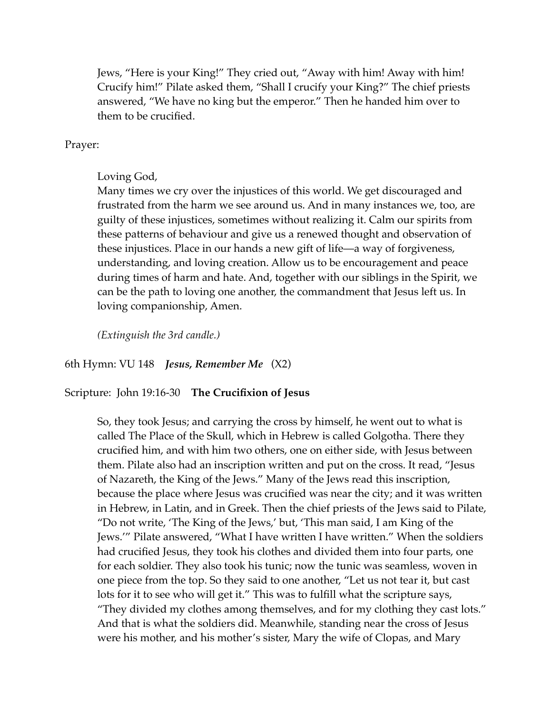Jews, "Here is your King!" They cried out, "Away with him! Away with him! Crucify him!" Pilate asked them, "Shall I crucify your King?" The chief priests answered, "We have no king but the emperor." Then he handed him over to them to be crucified.

Prayer:

#### Loving God,

Many times we cry over the injustices of this world. We get discouraged and frustrated from the harm we see around us. And in many instances we, too, are guilty of these injustices, sometimes without realizing it. Calm our spirits from these patterns of behaviour and give us a renewed thought and observation of these injustices. Place in our hands a new gift of life—a way of forgiveness, understanding, and loving creation. Allow us to be encouragement and peace during times of harm and hate. And, together with our siblings in the Spirit, we can be the path to loving one another, the commandment that Jesus left us. In loving companionship, Amen.

*(Extinguish the 3rd candle.)*

6th Hymn: VU 148 *Jesus, Remember Me* (X2)

### Scripture: John 19:16-30 **The Crucifixion of Jesus**

So, they took Jesus; and carrying the cross by himself, he went out to what is called The Place of the Skull, which in Hebrew is called Golgotha. There they crucified him, and with him two others, one on either side, with Jesus between them. Pilate also had an inscription written and put on the cross. It read, "Jesus of Nazareth, the King of the Jews." Many of the Jews read this inscription, because the place where Jesus was crucified was near the city; and it was written in Hebrew, in Latin, and in Greek. Then the chief priests of the Jews said to Pilate, "Do not write, 'The King of the Jews,' but, 'This man said, I am King of the Jews.'" Pilate answered, "What I have written I have written." When the soldiers had crucified Jesus, they took his clothes and divided them into four parts, one for each soldier. They also took his tunic; now the tunic was seamless, woven in one piece from the top. So they said to one another, "Let us not tear it, but cast lots for it to see who will get it." This was to fulfill what the scripture says, "They divided my clothes among themselves, and for my clothing they cast lots." And that is what the soldiers did. Meanwhile, standing near the cross of Jesus were his mother, and his mother's sister, Mary the wife of Clopas, and Mary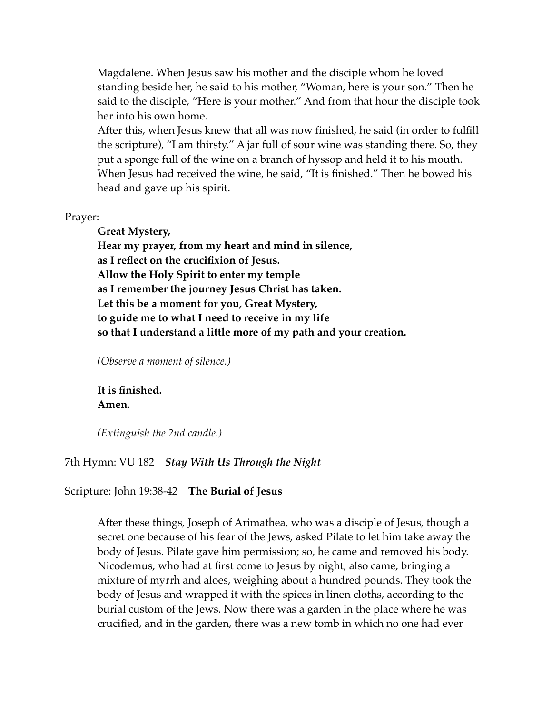Magdalene. When Jesus saw his mother and the disciple whom he loved standing beside her, he said to his mother, "Woman, here is your son." Then he said to the disciple, "Here is your mother." And from that hour the disciple took her into his own home.

After this, when Jesus knew that all was now finished, he said (in order to fulfill the scripture), "I am thirsty." A jar full of sour wine was standing there. So, they put a sponge full of the wine on a branch of hyssop and held it to his mouth. When Jesus had received the wine, he said, "It is finished." Then he bowed his head and gave up his spirit.

Prayer:

**Great Mystery,**

**Hear my prayer, from my heart and mind in silence, as I reflect on the crucifixion of Jesus. Allow the Holy Spirit to enter my temple as I remember the journey Jesus Christ has taken. Let this be a moment for you, Great Mystery, to guide me to what I need to receive in my life so that I understand a little more of my path and your creation.**

*(Observe a moment of silence.)*

**It is finished. Amen.**

*(Extinguish the 2nd candle.)*

7th Hymn: VU 182 *Stay With Us Through the Night*

Scripture: John 19:38-42 **The Burial of Jesus** 

After these things, Joseph of Arimathea, who was a disciple of Jesus, though a secret one because of his fear of the Jews, asked Pilate to let him take away the body of Jesus. Pilate gave him permission; so, he came and removed his body. Nicodemus, who had at first come to Jesus by night, also came, bringing a mixture of myrrh and aloes, weighing about a hundred pounds. They took the body of Jesus and wrapped it with the spices in linen cloths, according to the burial custom of the Jews. Now there was a garden in the place where he was crucified, and in the garden, there was a new tomb in which no one had ever